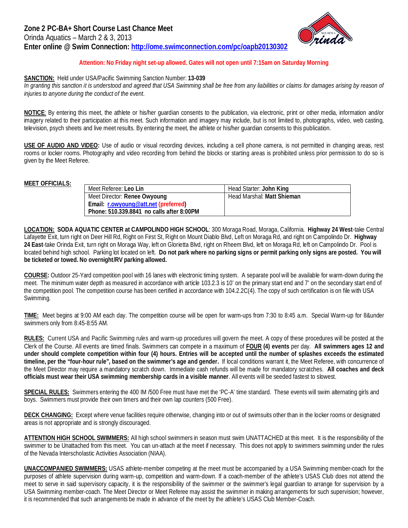

## **Attention: No Friday night set-up allowed. Gates will not open until 7:15am on Saturday Morning**

## **SANCTION:** Held under USA/Pacific Swimming Sanction Number: **13-039**

In granting this sanction it is understood and agreed that USA Swimming shall be free from any liabilities or claims for damages arising by reason of *injuries to anyone during the conduct of the event.*

**NOTICE**: By entering this meet, the athlete or his/her guardian consents to the publication, via electronic, print or other media, information and/or imagery related to their participation at this meet. Such information and imagery may include, but is not limited to, photographs, video, web casting, television, psych sheets and live meet results. By entering the meet, the athlete or his/her guardian consents to this publication.

**USE OF AUDIO AND VIDEO:** Use of audio or visual recording devices, including a cell phone camera, is not permitted in changing areas, rest rooms or locker rooms. Photography and video recording from behind the blocks or starting areas is prohibited unless prior permission to do so is given by the Meet Referee.

## **MEET OFFICIALS:**

| Meet Referee: Leo Lin                     | Head Starter: John King    |
|-------------------------------------------|----------------------------|
| Meet Director: Renee Owyoung              | Head Marshal: Matt Shieman |
| Email: r.owyoung@att.net (preferred)      |                            |
| Phone: 510.339.8841 no calls after 8:00PM |                            |

**LOCATION: SODA AQUATIC CENTER at CAMPOLINDO HIGH SCHOOL**: 300 Moraga Road, Moraga, California. **Highway 24 West**-take Central Lafayette Exit, turn right on Deer Hill Rd, Right on First St, Right on Mount Diablo Blvd, Left on Moraga Rd, and right on Campolindo Dr. **Highway 24 East**-take Orinda Exit, turn right on Moraga Way, left on Glorietta Blvd, right on Rheem Blvd, left on Moraga Rd, left on Campolindo Dr. Pool is located behind high school. Parking lot located on left. **Do not park where no parking signs or permit parking only signs are posted. You will be ticketed or towed. No overnight/RV parking allowed.**

**COURSE:** Outdoor 25-Yard competition pool with 16 lanes with electronic timing system. A separate pool will be available for warm-down during the meet. The minimum water depth as measured in accordance with article 103.2.3 is 10' on the primary start end and 7' on the secondary start end of the competition pool. The competition course has been certified in accordance with 104.2.2C(4). The copy of such certification is on file with USA Swimming.

**TIME:** Meet begins at 9:00 AM each day. The competition course will be open for warm-ups from 7:30 to 8:45 a.m. Special Warm-up for 8&under swimmers only from 8:45-8:55 AM.

**RULES:** Current USA and Pacific Swimming rules and warm-up procedures will govern the meet. A copy of these procedures will be posted at the Clerk of the Course. All events are timed finals. Swimmers can compete in a maximum of **FOUR (4) events** per day. **All swimmers ages 12 and under should complete competition within four (4) hours. Entries will be accepted until the number of splashes exceeds the estimated timeline, per the "four-hour rule", based on the swimmer's age and gender.** If local conditions warrant it, the Meet Referee, with concurrence of the Meet Director may require a mandatory scratch down. Immediate cash refunds will be made for mandatory scratches. **All coaches and deck officials must wear their USA swimming membership cards in a visible manner**. All events will be seeded fastest to slowest.

**SPECIAL RULES:** Swimmers entering the 400 IM /500 Free must have met the 'PC-A' time standard. These events will swim alternating girls and boys. Swimmers must provide their own timers and their own lap counters (500 Free).

**DECK CHANGING:** Except where venue facilities require otherwise, changing into or out of swimsuits other than in the locker rooms or designated areas is not appropriate and is strongly discouraged.

**ATTENTION HIGH SCHOOL SWIMMERS:** All high school swimmers in season must swim UNATTACHED at this meet. It is the responsibility of the swimmer to be Unattached from this meet. You can un-attach at the meet if necessary. This does not apply to swimmers swimming under the rules of the Nevada Interscholastic Activities Association (NIAA).

**UNACCOMPANIED SWIMMERS:** USAS athlete-member competing at the meet must be accompanied by a USA Swimming member-coach for the purposes of athlete supervision during warm-up, competition and warm-down. If a coach-member of the athlete's USAS Club does not attend the meet to serve in said supervisory capacity, it is the responsibility of the swimmer or the swimmer's legal guardian to arrange for supervision by a USA Swimming member-coach. The Meet Director or Meet Referee may assist the swimmer in making arrangements for such supervision; however, it is recommended that such arrangements be made in advance of the meet by the athlete's USAS Club Member-Coach.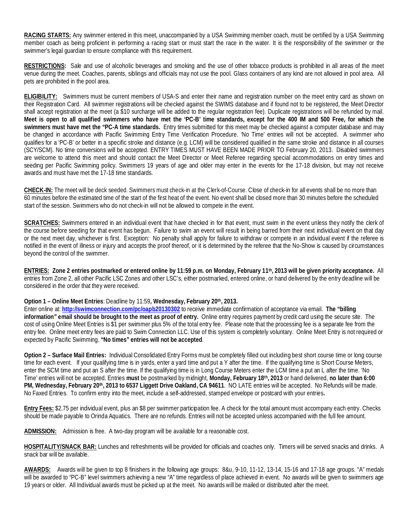**RACING STARTS:** Any swimmer entered in this meet, unaccompanied by a USA Swimming member coach, must be certified by a USA Swimming member coach as being proficient in performing a racing start or must start the race in the water. It is the responsibility of the swimmer or the swimmer's legal guardian to ensure compliance with this requirement.

**RESTRICTIONS:** Sale and use of alcoholic beverages and smoking and the use of other tobacco products is prohibited in all areas of the meet venue during the meet. Coaches, parents, siblings and officials may not use the pool. Glass containers of any kind are not allowed in pool area. All pets are prohibited in the pool area.

**ELIGIBILITY:** Swimmers must be current members of USA-S and enter their name and registration number on the meet entry card as shown on their Registration Card. All swimmer registrations will be checked against the SWIMS database and if found not to be registered, the Meet Director shall accept registration at the meet (a \$10 surcharge will be added to the regular registration fee). Duplicate registrations will be refunded by mail. **Meet is open to all qualified swimmers who have met the 'PC-B' time standards, except for the 400 IM and 500 Free, for which the swimmers must have met the "PC-A time standards.** Entry times submitted for this meet may be checked against a computer database and may be changed in accordance with Pacific Swimming Entry Time Verification Procedure. 'No Time' entries will not be accepted. A swimmer who qualifies for a 'PC-B' or better in a specific stroke and distance (e.g. LCM) will be considered qualified in the same stroke and distance in all courses (SCY/SCM). No time conversions will be accepted. ENTRY TIMES MUST HAVE BEEN MADE PRIOR TO February 20, 2013. Disabled swimmers are welcome to attend this meet and should contact the Meet Director or Meet Referee regarding special accommodations on entry times and seeding per Pacific Swimming policy. Swimmers 19 years of age and older may enter in the events for the 17-18 division, but may not receive awards and must have met the 17-18 time standards.

**CHECK-IN:** The meet will be deck seeded. Swimmers must check-in at the Clerk-of-Course. Close of check-in for all events shall be no more than 60 minutes before the estimated time of the start of the first heat of the event. No event shall be closed more than 30 minutes before the scheduled start of the session. Swimmers who do not check-in will not be allowed to compete in the event.

**SCRATCHES:** Swimmers entered in an individual event that have checked in for that event, must swim in the event unless they notify the clerk of the course before seeding for that event has begun. Failure to swim an event will result in being barred from their next individual event on that day or the next meet day, whichever is first. Exception: No penalty shall apply for failure to withdraw or compete in an individual event if the referee is notified in the event of illness or injury and accepts the proof thereof, or it is determined by the referee that the No-Show is caused by circumstances beyond the control of the swimmer.

**ENTRIES: Zone 2 entries postmarked or entered online by 11:59 p.m. on Monday, February 11th, 2013 will be given priority acceptance.** All entries from Zone 2, all other Pacific LSC Zones and other LSC's, either postmarked, entered online, or hand delivered by the entry deadline will be considered in the order that they were received.

## **Option 1 – Online Meet Entries**: Deadline by 11:59**, Wednesday, February 20th, 2013.**

Enter online at: **<http://swimconnection.com/pc/oapb20130302>** to receive immediate confirmation of acceptance via email. **The "billing information" email should be brought to the meet as proof of entry.** Online entry requires payment by credit card using the secure site. The cost of using Online Meet Entries is \$1 per swimmer plus 5% of the total entry fee. Please note that the processing fee is a separate fee from the entry fee. Online meet entry fees are paid to Swim Connection LLC. Use of this system is completely voluntary. Online Meet Entry is not required or expected by Pacific Swimming. **"No times" entries will not be accepted**.

**Option 2 – Surface Mail Entries:** Individual Consolidated Entry Forms must be completely filled out including best short course time or long course time for each event. If your qualifying time is in yards, enter a yard time and put a Y after the time. If the qualifying time is Short Course Meters, enter the SCM time and put an S after the time. If the qualifying time is in Long Course Meters enter the LCM time a put an L after the time. 'No Time' entries will not be accepted. Entries **must** be postmarked by midnight, **Monday, February 18th, 2013** or hand delivered, **no later than 6:00 PM, Wednesday, February 20th, 2013 to 6537 Liggett Drive Oakland, CA 94611**. NO LATE entries will be accepted. No Refunds will be made. No Faxed Entries. To confirm entry into the meet, include a self-addressed, stamped envelope or postcard with your entries**.** 

**Entry Fees:** \$2.75 per individual event, plus an \$8 per swimmer participation fee. A check for the total amount must accompany each entry. Checks should be made payable to Orinda Aquatics. There are no refunds. Entries will not be accepted unless accompanied with the full fee amount.

**ADMISSION:** Admission is free. A two-day program will be available for a reasonable cost.

**HOSPITALITY/SNACK BAR:** Lunches and refreshments will be provided for officials and coaches only. Timers will be served snacks and drinks. A snack bar will be available.

**AWARDS:** Awards will be given to top 8 finishers in the following age groups: 8&u, 9-10, 11-12, 13-14, 15-16 and 17-18 age groups. "A" medals will be awarded to "PC-B" level swimmers achieving a new "A" time regardless of place achieved in event. No awards will be given to swimmers age 19 years or older. All Individual awards must be picked up at the meet. No awards will be mailed or distributed after the meet.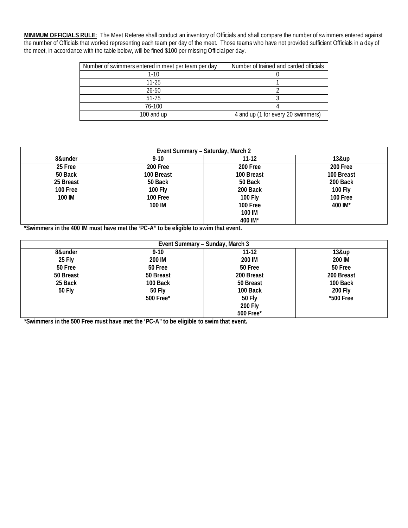**MINIMUM OFFICIALS RULE:** The Meet Referee shall conduct an inventory of Officials and shall compare the number of swimmers entered against the number of Officials that worked representing each team per day of the meet. Those teams who have not provided sufficient Officials in a day of the meet, in accordance with the table below, will be fined \$100 per missing Official per day.

| Number of swimmers entered in meet per team per day | Number of trained and carded officials |
|-----------------------------------------------------|----------------------------------------|
| $1-10$                                              |                                        |
| $11-25$                                             |                                        |
| $26 - 50$                                           |                                        |
| $51 - 75$                                           |                                        |
| 76-100                                              |                                        |
| 100 and up                                          | 4 and up (1 for every 20 swimmers)     |

|           |            | Event Summary - Saturday, March 2 |            |
|-----------|------------|-----------------------------------|------------|
| 8&under   | $9-10$     | $11-12$                           | 13&up      |
| 25 Free   | 200 Free   | 200 Free                          | 200 Free   |
| 50 Back   | 100 Breast | 100 Breast                        | 100 Breast |
| 25 Breast | 50 Back    | 50 Back                           | 200 Back   |
| 100 Free  | 100 Fly    | 200 Back                          | 100 Fly    |
| 100 IM    | 100 Free   | <b>100 Fly</b>                    | 100 Free   |
|           | 100 IM     | 100 Free                          | 400 IM*    |
|           |            | 100 IM                            |            |
|           |            | 400 IM*                           |            |

**\*Swimmers in the 400 IM must have met the 'PC-A" to be eligible to swim that event.**

|           |           | Event Summary - Sunday, March 3 |            |
|-----------|-----------|---------------------------------|------------|
| 8&under   | $9 - 10$  | 11-12                           | 13&up      |
| 25 Fly    | 200 IM    | 200 IM                          | 200 IM     |
| 50 Free   | 50 Free   | 50 Free                         | 50 Free    |
| 50 Breast | 50 Breast | 200 Breast                      | 200 Breast |
| 25 Back   | 100 Back  | 50 Breast                       | 100 Back   |
| 50 Fly    | 50 Fly    | 100 Back                        | 200 Fly    |
|           | 500 Free* | <b>50 Fly</b>                   | *500 Free  |
|           |           | <b>200 Fly</b>                  |            |
|           |           | 500 Free*                       |            |

**\*Swimmers in the 500 Free must have met the 'PC-A" to be eligible to swim that event.**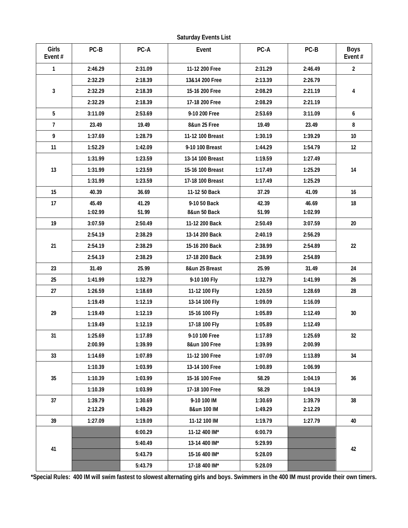| Girls<br>Event# | PC-B    | PC-A    | Event                                | PC-A    | $PC-B$  | <b>Boys</b><br>Event $#$ |  |
|-----------------|---------|---------|--------------------------------------|---------|---------|--------------------------|--|
| $\mathbf{1}$    | 2:46.29 | 2:31.09 | 11-12 200 Free                       | 2:31.29 | 2:46.49 | $\overline{2}$           |  |
|                 | 2:32.29 | 2:18.39 | 13&14 200 Free<br>2:13.39<br>2:26.79 |         |         |                          |  |
| 3               | 2:32.29 | 2:18.39 | 15-16 200 Free                       | 2:08.29 | 2:21.19 | 4                        |  |
|                 | 2:32.29 | 2:18.39 | 17-18 200 Free                       | 2:08.29 | 2:21.19 |                          |  |
| 5               | 3:11.09 | 2:53.69 | 9-10 200 Free                        | 2:53.69 | 3:11.09 | 6                        |  |
| $\overline{7}$  | 23.49   | 19.49   | 8&un 25 Free                         | 19.49   | 23.49   | 8                        |  |
| 9               | 1:37.69 | 1:28.79 | 11-12 100 Breast                     | 1:30.19 | 1:39.29 | 10                       |  |
| 11              | 1:52.29 | 1:42.09 | 9-10 100 Breast                      | 1:44.29 | 1:54.79 | 12                       |  |
|                 | 1:31.99 | 1:23.59 | 13-14 100 Breast                     | 1:19.59 | 1:27.49 |                          |  |
| 13              | 1:31.99 | 1:23.59 | 15-16 100 Breast                     | 1:17.49 | 1:25.29 | 14                       |  |
|                 | 1:31.99 | 1:23.59 | 17-18 100 Breast                     | 1:17.49 | 1:25.29 |                          |  |
| 15              | 40.39   | 36.69   | 11-12 50 Back                        | 37.29   | 41.09   | 16                       |  |
| 17              | 45.49   | 41.29   | 9-10 50 Back                         | 42.39   | 46.69   | 18                       |  |
|                 | 1:02.99 | 51.99   | 8&un 50 Back                         | 51.99   | 1:02.99 |                          |  |
| 19              | 3:07.59 | 2:50.49 | 11-12 200 Back                       | 2:50.49 | 3:07.59 | 20                       |  |
|                 | 2:54.19 | 2:38.29 | 13-14 200 Back                       | 2:40.19 | 2:56.29 |                          |  |
| 21              | 2:54.19 | 2:38.29 | 15-16 200 Back                       | 2:38.99 | 2:54.89 | 22                       |  |
|                 | 2:54.19 | 2:38.29 | 17-18 200 Back                       | 2:38.99 | 2:54.89 |                          |  |
| 23              | 31.49   | 25.99   | 8&un 25 Breast                       | 25.99   | 31.49   | 24                       |  |
| 25              | 1:41.99 | 1:32.79 | 9-10 100 Fly                         | 1:32.79 | 1:41.99 | 26                       |  |
| 27              | 1:26.59 | 1:18.69 | 11-12 100 Fly                        | 1:20.59 | 1:28.69 | 28                       |  |
|                 | 1:19.49 | 1:12.19 | 13-14 100 Fly                        | 1:09.09 | 1:16.09 |                          |  |
| 29              | 1:19.49 | 1:12.19 | 15-16 100 Fly                        | 1:05.89 | 1:12.49 | 30                       |  |
|                 | 1:19.49 | 1:12.19 | 17-18 100 Fly                        | 1:05.89 | 1:12.49 |                          |  |
| 31              | 1:25.69 | 1:17.89 | 9-10 100 Free                        | 1:17.89 | 1:25.69 | 32                       |  |
|                 | 2:00.99 | 1:39.99 | 8&un 100 Free                        | 1:39.99 | 2:00.99 |                          |  |
| 33              | 1:14.69 | 1:07.89 | 11-12 100 Free                       | 1:07.09 | 1:13.89 | 34                       |  |
|                 | 1:10.39 | 1:03.99 | 13-14 100 Free                       | 1:00.89 | 1:06.99 |                          |  |
| 35              | 1:10.39 | 1:03.99 | 15-16 100 Free                       | 58.29   | 1:04.19 | 36                       |  |
|                 | 1:10.39 | 1:03.99 | 17-18 100 Free                       | 58.29   | 1:04.19 |                          |  |
| 37              | 1:39.79 | 1:30.69 | 9-10 100 IM                          | 1:30.69 | 1:39.79 | 38                       |  |
|                 | 2:12.29 | 1:49.29 | 8&un 100 IM                          | 1:49.29 | 2:12.29 |                          |  |
| 39              | 1:27.09 | 1:19.09 | 11-12 100 IM                         | 1:19.79 | 1:27.79 | 40                       |  |
|                 |         | 6:00.29 | 11-12 400 IM*                        | 6:00.79 |         |                          |  |
| 41              |         | 5:40.49 | 13-14 400 IM*                        | 5:29.99 |         | 42                       |  |
|                 |         | 5:43.79 | 15-16 400 IM*                        | 5:28.09 |         |                          |  |
|                 |         | 5:43.79 | 17-18 400 IM*                        | 5:28.09 |         |                          |  |

Saturday Events List

\*Special Rules: 400 IM will swim fastest to slowest alternating girls and boys. Swimmers in the 400 IM must provide their own timers.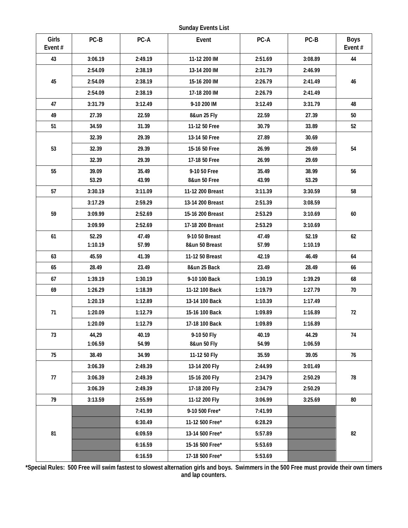**Sunday Events List**

| Girls<br>Event# | PC-B               | PC-A    | Event                   | PC-A    | PC-B    | Boys<br>Event# |
|-----------------|--------------------|---------|-------------------------|---------|---------|----------------|
| 43              | 3:06.19            | 2:49.19 | 11-12 200 IM            | 2:51.69 | 3:08.89 | 44             |
|                 | 2:54.09            | 2:38.19 | 13-14 200 IM            | 2:31.79 | 2:46.99 |                |
| 45              | 2:54.09            | 2:38.19 | 15-16 200 IM            | 2:26.79 | 2:41.49 | 46             |
|                 | 2:54.09            | 2:38.19 | 17-18 200 IM            | 2:26.79 | 2:41.49 |                |
| 47              | 3:31.79            | 3:12.49 | 9-10 200 IM             | 3:12.49 | 3:31.79 | 48             |
| 49              | 27.39              | 22.59   | 8&un 25 Fly             | 22.59   | 27.39   | 50             |
| 51              | 34.59              | 31.39   | 11-12 50 Free           | 30.79   | 33.89   | 52             |
|                 | 32.39              | 29.39   | 13-14 50 Free           | 27.89   | 30.69   |                |
| 53              | 32.39              | 29.39   | 15-16 50 Free           | 26.99   | 29.69   | 54             |
|                 | 32.39              | 29.39   | 17-18 50 Free           | 26.99   | 29.69   |                |
| 55              | 39.09              | 35.49   | 9-10 50 Free            | 35.49   | 38.99   | 56             |
|                 | 53.29              | 43.99   | 8&un 50 Free            | 43.99   | 53.29   |                |
| 57              | 3:30.19            | 3:11.09 | 11-12 200 Breast        | 3:11.39 | 3:30.59 | 58             |
|                 | 3:17.29            | 2:59.29 | 13-14 200 Breast        | 2:51.39 | 3:08.59 |                |
| 59              | 3:09.99            | 2:52.69 | 15-16 200 Breast        | 2:53.29 | 3:10.69 | 60             |
|                 | 3:09.99            | 2:52.69 | 17-18 200 Breast        | 2:53.29 | 3:10.69 |                |
| 61              | 52.29              | 47.49   | 9-10 50 Breast<br>47.49 |         | 52.19   | 62             |
|                 | 1:10.19            | 57.99   | 8&un 50 Breast          | 57.99   | 1:10.19 |                |
| 63              | 45.59              | 41.39   | 11-12 50 Breast         | 42.19   | 46.49   | 64             |
| 65              | 28.49              | 23.49   | 8&un 25 Back            | 23.49   | 28.49   | 66             |
| 67              | 1:39.19            | 1:30.19 | 9-10 100 Back           | 1:30.19 | 1:39.29 | 68             |
| 69              | 1:26.29            | 1:18.39 | 11-12 100 Back          | 1:19.79 | 1:27.79 | 70             |
|                 | 1:20.19            | 1:12.89 | 13-14 100 Back          | 1:10.39 | 1:17.49 |                |
| 71              | 1:20.09            | 1:12.79 | 15-16 100 Back          | 1:09.89 | 1:16.89 | 72             |
|                 | 1:12.79<br>1:20.09 |         | 17-18 100 Back          | 1:09.89 | 1:16.89 |                |
| 73              | 44,29              | 40.19   | 9-10 50 Fly             | 40.19   | 44.29   | 74             |
|                 | 1:06.59            | 54.99   | 8&un 50 Fly             | 54.99   | 1:06.59 |                |
| 75              | 38.49              | 34.99   | 11-12 50 Fly            | 35.59   | 39.05   | 76             |
|                 | 3:06.39            | 2:49.39 | 13-14 200 Fly           | 2:44.99 | 3:01.49 |                |
| 77              | 3:06.39            | 2:49.39 | 15-16 200 Fly           | 2:34.79 | 2:50.29 | 78             |
|                 | 3:06.39            | 2:49.39 | 17-18 200 Fly           | 2:34.79 | 2:50.29 |                |
| 79              | 3:13.59            | 2:55.99 | 11-12 200 Fly           | 3:06.99 | 3:25.69 | 80             |
|                 |                    | 7:41.99 | 9-10 500 Free*          | 7:41.99 |         |                |
|                 |                    | 6:30.49 | 11-12 500 Free*         | 6:28.29 |         |                |
| 81              |                    | 6:09.59 | 13-14 500 Free*         | 5:57.89 |         | 82             |
|                 |                    | 6:16.59 | 15-16 500 Free*         | 5:53.69 |         |                |
|                 |                    | 6:16.59 | 17-18 500 Free*         | 5:53.69 |         |                |

**\*Special Rules: 500 Free will swim fastest to slowest alternation girls and boys. Swimmers in the 500 Free must provide their own timers and lap counters.**